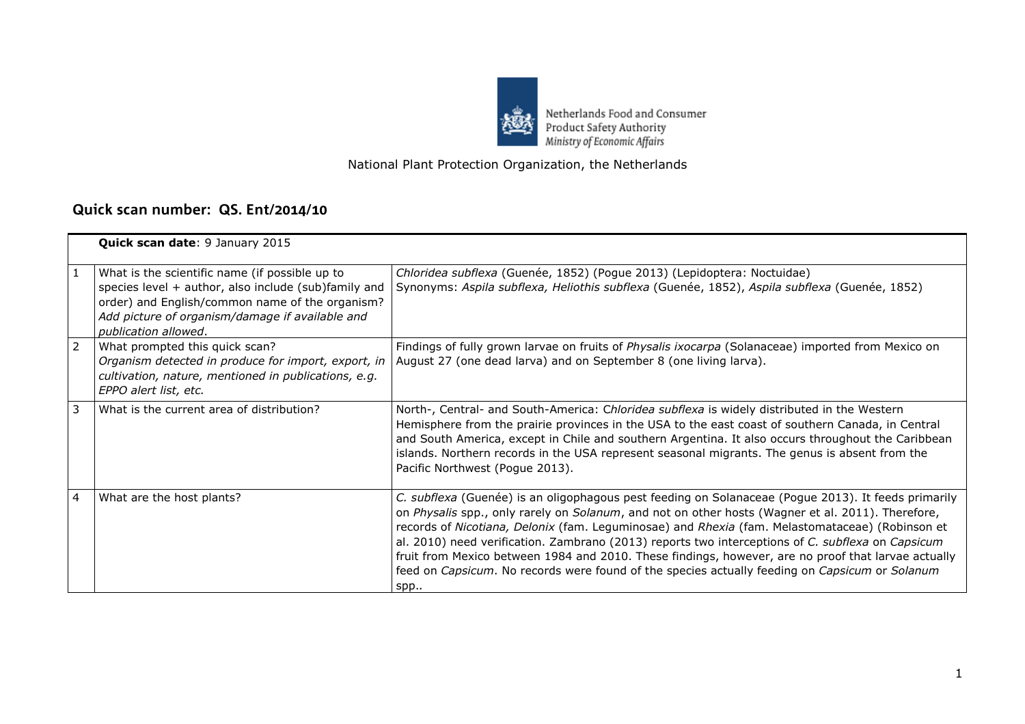

Netherlands Food and Consumer<br>Product Safety Authority<br>Ministry of Economic Affairs

## National Plant Protection Organization, the Netherlands

## **Quick scan number: QS. Ent/2014/10**

|                | Quick scan date: 9 January 2015                                                                                                                                                                                                      |                                                                                                                                                                                                                                                                                                                                                                                                                                                                                                                                                                                                                                  |
|----------------|--------------------------------------------------------------------------------------------------------------------------------------------------------------------------------------------------------------------------------------|----------------------------------------------------------------------------------------------------------------------------------------------------------------------------------------------------------------------------------------------------------------------------------------------------------------------------------------------------------------------------------------------------------------------------------------------------------------------------------------------------------------------------------------------------------------------------------------------------------------------------------|
|                | What is the scientific name (if possible up to<br>species level + author, also include (sub)family and<br>order) and English/common name of the organism?<br>Add picture of organism/damage if available and<br>publication allowed. | Chloridea subflexa (Guenée, 1852) (Pogue 2013) (Lepidoptera: Noctuidae)<br>Synonyms: Aspila subflexa, Heliothis subflexa (Guenée, 1852), Aspila subflexa (Guenée, 1852)                                                                                                                                                                                                                                                                                                                                                                                                                                                          |
| $\overline{2}$ | What prompted this quick scan?<br>Organism detected in produce for import, export, in<br>cultivation, nature, mentioned in publications, e.g.<br>EPPO alert list, etc.                                                               | Findings of fully grown larvae on fruits of Physalis ixocarpa (Solanaceae) imported from Mexico on<br>August 27 (one dead larva) and on September 8 (one living larva).                                                                                                                                                                                                                                                                                                                                                                                                                                                          |
| 3              | What is the current area of distribution?                                                                                                                                                                                            | North-, Central- and South-America: Chloridea subflexa is widely distributed in the Western<br>Hemisphere from the prairie provinces in the USA to the east coast of southern Canada, in Central<br>and South America, except in Chile and southern Argentina. It also occurs throughout the Caribbean<br>islands. Northern records in the USA represent seasonal migrants. The genus is absent from the<br>Pacific Northwest (Pogue 2013).                                                                                                                                                                                      |
| 4              | What are the host plants?                                                                                                                                                                                                            | C. subflexa (Guenée) is an oligophagous pest feeding on Solanaceae (Pogue 2013). It feeds primarily<br>on Physalis spp., only rarely on Solanum, and not on other hosts (Wagner et al. 2011). Therefore,<br>records of Nicotiana, Delonix (fam. Leguminosae) and Rhexia (fam. Melastomataceae) (Robinson et<br>al. 2010) need verification. Zambrano (2013) reports two interceptions of C. subflexa on Capsicum<br>fruit from Mexico between 1984 and 2010. These findings, however, are no proof that larvae actually<br>feed on Capsicum. No records were found of the species actually feeding on Capsicum or Solanum<br>spp |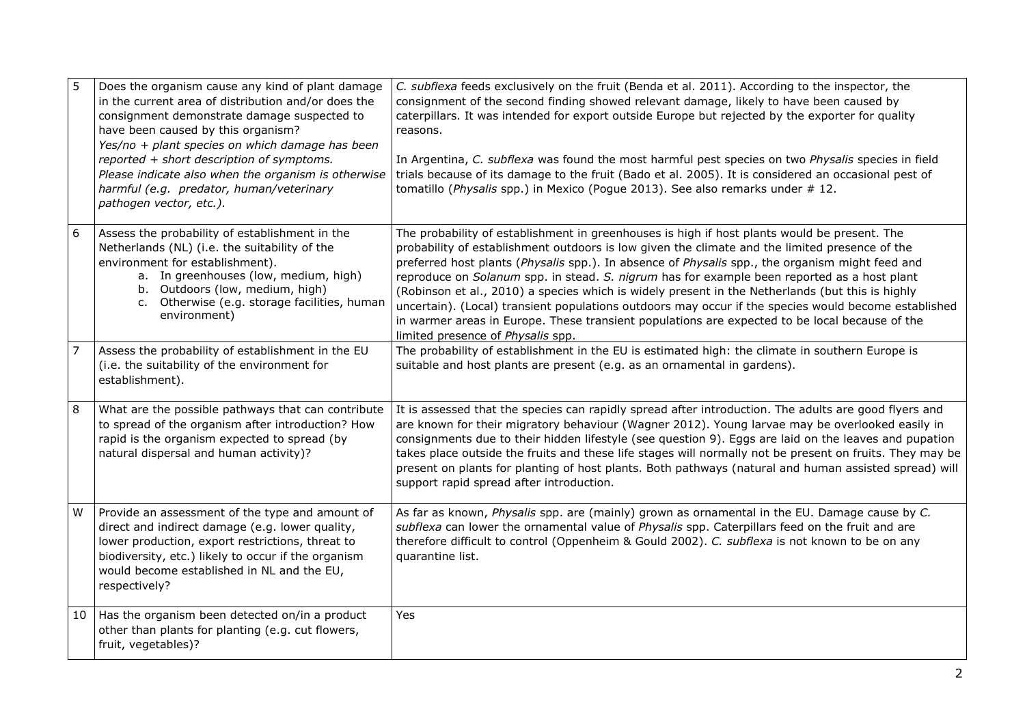| 5  | Does the organism cause any kind of plant damage<br>in the current area of distribution and/or does the<br>consignment demonstrate damage suspected to<br>have been caused by this organism?<br>Yes/no + plant species on which damage has been<br>reported + short description of symptoms.<br>Please indicate also when the organism is otherwise<br>harmful (e.g. predator, human/veterinary<br>pathogen vector, etc.). | C. subflexa feeds exclusively on the fruit (Benda et al. 2011). According to the inspector, the<br>consignment of the second finding showed relevant damage, likely to have been caused by<br>caterpillars. It was intended for export outside Europe but rejected by the exporter for quality<br>reasons.<br>In Argentina, C. subflexa was found the most harmful pest species on two Physalis species in field<br>trials because of its damage to the fruit (Bado et al. 2005). It is considered an occasional pest of<br>tomatillo (Physalis spp.) in Mexico (Pogue 2013). See also remarks under #12.                                                                                                                                           |
|----|----------------------------------------------------------------------------------------------------------------------------------------------------------------------------------------------------------------------------------------------------------------------------------------------------------------------------------------------------------------------------------------------------------------------------|-----------------------------------------------------------------------------------------------------------------------------------------------------------------------------------------------------------------------------------------------------------------------------------------------------------------------------------------------------------------------------------------------------------------------------------------------------------------------------------------------------------------------------------------------------------------------------------------------------------------------------------------------------------------------------------------------------------------------------------------------------|
| 6  | Assess the probability of establishment in the<br>Netherlands (NL) (i.e. the suitability of the<br>environment for establishment).<br>a. In greenhouses (low, medium, high)<br>b. Outdoors (low, medium, high)<br>c. Otherwise (e.g. storage facilities, human<br>environment)                                                                                                                                             | The probability of establishment in greenhouses is high if host plants would be present. The<br>probability of establishment outdoors is low given the climate and the limited presence of the<br>preferred host plants (Physalis spp.). In absence of Physalis spp., the organism might feed and<br>reproduce on Solanum spp. in stead. S. nigrum has for example been reported as a host plant<br>(Robinson et al., 2010) a species which is widely present in the Netherlands (but this is highly<br>uncertain). (Local) transient populations outdoors may occur if the species would become established<br>in warmer areas in Europe. These transient populations are expected to be local because of the<br>limited presence of Physalis spp. |
| 7  | Assess the probability of establishment in the EU<br>(i.e. the suitability of the environment for<br>establishment).                                                                                                                                                                                                                                                                                                       | The probability of establishment in the EU is estimated high: the climate in southern Europe is<br>suitable and host plants are present (e.g. as an ornamental in gardens).                                                                                                                                                                                                                                                                                                                                                                                                                                                                                                                                                                         |
| 8  | What are the possible pathways that can contribute<br>to spread of the organism after introduction? How<br>rapid is the organism expected to spread (by<br>natural dispersal and human activity)?                                                                                                                                                                                                                          | It is assessed that the species can rapidly spread after introduction. The adults are good flyers and<br>are known for their migratory behaviour (Wagner 2012). Young larvae may be overlooked easily in<br>consignments due to their hidden lifestyle (see question 9). Eggs are laid on the leaves and pupation<br>takes place outside the fruits and these life stages will normally not be present on fruits. They may be<br>present on plants for planting of host plants. Both pathways (natural and human assisted spread) will<br>support rapid spread after introduction.                                                                                                                                                                  |
| W  | Provide an assessment of the type and amount of<br>direct and indirect damage (e.g. lower quality,<br>lower production, export restrictions, threat to<br>biodiversity, etc.) likely to occur if the organism<br>would become established in NL and the EU,<br>respectively?                                                                                                                                               | As far as known, Physalis spp. are (mainly) grown as ornamental in the EU. Damage cause by C.<br>subflexa can lower the ornamental value of Physalis spp. Caterpillars feed on the fruit and are<br>therefore difficult to control (Oppenheim & Gould 2002). C. subflexa is not known to be on any<br>quarantine list.                                                                                                                                                                                                                                                                                                                                                                                                                              |
| 10 | Has the organism been detected on/in a product<br>other than plants for planting (e.g. cut flowers,<br>fruit, vegetables)?                                                                                                                                                                                                                                                                                                 | Yes                                                                                                                                                                                                                                                                                                                                                                                                                                                                                                                                                                                                                                                                                                                                                 |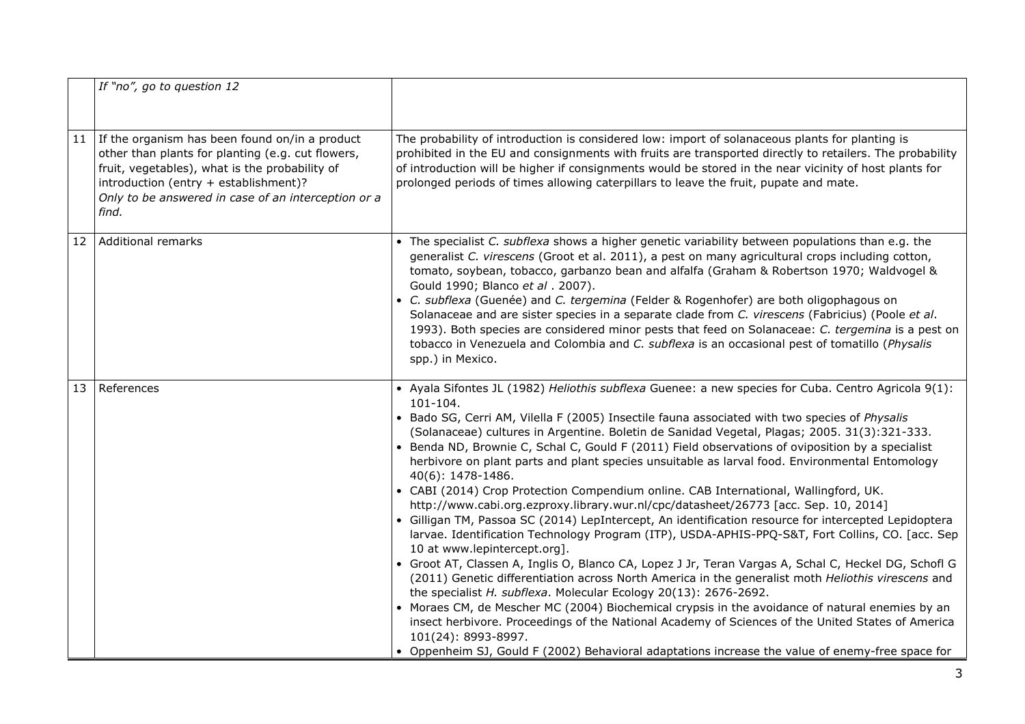|    | If "no", go to question 12                                                                                                                                                                                                                                     |                                                                                                                                                                                                                                                                                                                                                                                                                                                                                                                                                                                                                                                                                                                                                                                                                                                                                                                                                                                                                                                                                                                                                                                                                                                                                                                                                                                                                                                                                                                                                                                             |
|----|----------------------------------------------------------------------------------------------------------------------------------------------------------------------------------------------------------------------------------------------------------------|---------------------------------------------------------------------------------------------------------------------------------------------------------------------------------------------------------------------------------------------------------------------------------------------------------------------------------------------------------------------------------------------------------------------------------------------------------------------------------------------------------------------------------------------------------------------------------------------------------------------------------------------------------------------------------------------------------------------------------------------------------------------------------------------------------------------------------------------------------------------------------------------------------------------------------------------------------------------------------------------------------------------------------------------------------------------------------------------------------------------------------------------------------------------------------------------------------------------------------------------------------------------------------------------------------------------------------------------------------------------------------------------------------------------------------------------------------------------------------------------------------------------------------------------------------------------------------------------|
| 11 | If the organism has been found on/in a product<br>other than plants for planting (e.g. cut flowers,<br>fruit, vegetables), what is the probability of<br>introduction (entry + establishment)?<br>Only to be answered in case of an interception or a<br>find. | The probability of introduction is considered low: import of solanaceous plants for planting is<br>prohibited in the EU and consignments with fruits are transported directly to retailers. The probability<br>of introduction will be higher if consignments would be stored in the near vicinity of host plants for<br>prolonged periods of times allowing caterpillars to leave the fruit, pupate and mate.                                                                                                                                                                                                                                                                                                                                                                                                                                                                                                                                                                                                                                                                                                                                                                                                                                                                                                                                                                                                                                                                                                                                                                              |
| 12 | <b>Additional remarks</b>                                                                                                                                                                                                                                      | • The specialist C. subflexa shows a higher genetic variability between populations than e.g. the<br>generalist C. virescens (Groot et al. 2011), a pest on many agricultural crops including cotton,<br>tomato, soybean, tobacco, garbanzo bean and alfalfa (Graham & Robertson 1970; Waldvogel &<br>Gould 1990; Blanco et al. 2007).<br>• C. subflexa (Guenée) and C. tergemina (Felder & Rogenhofer) are both oligophagous on<br>Solanaceae and are sister species in a separate clade from C. virescens (Fabricius) (Poole et al.<br>1993). Both species are considered minor pests that feed on Solanaceae: C. tergemina is a pest on<br>tobacco in Venezuela and Colombia and C. subflexa is an occasional pest of tomatillo (Physalis<br>spp.) in Mexico.                                                                                                                                                                                                                                                                                                                                                                                                                                                                                                                                                                                                                                                                                                                                                                                                                            |
| 13 | References                                                                                                                                                                                                                                                     | • Ayala Sifontes JL (1982) Heliothis subflexa Guenee: a new species for Cuba. Centro Agricola 9(1):<br>101-104.<br>• Bado SG, Cerri AM, Vilella F (2005) Insectile fauna associated with two species of Physalis<br>(Solanaceae) cultures in Argentine. Boletin de Sanidad Vegetal, Plagas; 2005. 31(3):321-333.<br>• Benda ND, Brownie C, Schal C, Gould F (2011) Field observations of oviposition by a specialist<br>herbivore on plant parts and plant species unsuitable as larval food. Environmental Entomology<br>40(6): 1478-1486.<br>• CABI (2014) Crop Protection Compendium online. CAB International, Wallingford, UK.<br>http://www.cabi.org.ezproxy.library.wur.nl/cpc/datasheet/26773 [acc. Sep. 10, 2014]<br>• Gilligan TM, Passoa SC (2014) LepIntercept, An identification resource for intercepted Lepidoptera<br>larvae. Identification Technology Program (ITP), USDA-APHIS-PPQ-S&T, Fort Collins, CO. [acc. Sep<br>10 at www.lepintercept.org].<br>· Groot AT, Classen A, Inglis O, Blanco CA, Lopez J Jr, Teran Vargas A, Schal C, Heckel DG, Schofl G<br>(2011) Genetic differentiation across North America in the generalist moth Heliothis virescens and<br>the specialist H. subflexa. Molecular Ecology 20(13): 2676-2692.<br>• Moraes CM, de Mescher MC (2004) Biochemical crypsis in the avoidance of natural enemies by an<br>insect herbivore. Proceedings of the National Academy of Sciences of the United States of America<br>101(24): 8993-8997.<br>• Oppenheim SJ, Gould F (2002) Behavioral adaptations increase the value of enemy-free space for |